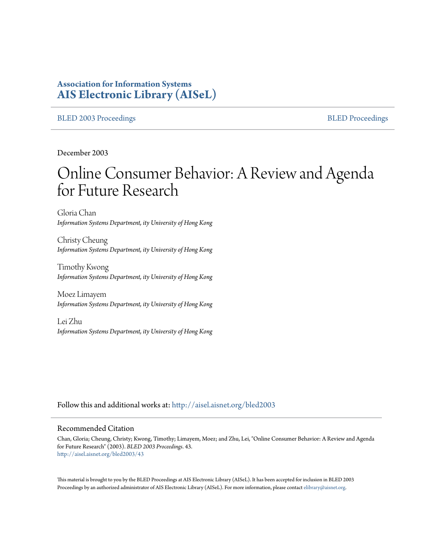## **Association for Information Systems [AIS Electronic Library \(AISeL\)](http://aisel.aisnet.org?utm_source=aisel.aisnet.org%2Fbled2003%2F43&utm_medium=PDF&utm_campaign=PDFCoverPages)**

[BLED 2003 Proceedings](http://aisel.aisnet.org/bled2003?utm_source=aisel.aisnet.org%2Fbled2003%2F43&utm_medium=PDF&utm_campaign=PDFCoverPages) and the state of the state of the [BLED Proceedings](http://aisel.aisnet.org/bled?utm_source=aisel.aisnet.org%2Fbled2003%2F43&utm_medium=PDF&utm_campaign=PDFCoverPages) and the BLED Proceedings and the BLED Proceedings and the BLED Proceedings and the BLED Proceedings and the BLED Proceedings and the BLED Proceedings

December 2003

# Online Consumer Behavior: A Review and Agenda for Future Research

Gloria Chan *Information Systems Department, ity University of Hong Kong*

Christy Cheung *Information Systems Department, ity University of Hong Kong*

Timothy Kwong *Information Systems Department, ity University of Hong Kong*

Moez Limayem *Information Systems Department, ity University of Hong Kong*

Lei Zhu *Information Systems Department, ity University of Hong Kong*

Follow this and additional works at: [http://aisel.aisnet.org/bled2003](http://aisel.aisnet.org/bled2003?utm_source=aisel.aisnet.org%2Fbled2003%2F43&utm_medium=PDF&utm_campaign=PDFCoverPages)

#### Recommended Citation

Chan, Gloria; Cheung, Christy; Kwong, Timothy; Limayem, Moez; and Zhu, Lei, "Online Consumer Behavior: A Review and Agenda for Future Research" (2003). *BLED 2003 Proceedings*. 43. [http://aisel.aisnet.org/bled2003/43](http://aisel.aisnet.org/bled2003/43?utm_source=aisel.aisnet.org%2Fbled2003%2F43&utm_medium=PDF&utm_campaign=PDFCoverPages)

This material is brought to you by the BLED Proceedings at AIS Electronic Library (AISeL). It has been accepted for inclusion in BLED 2003 Proceedings by an authorized administrator of AIS Electronic Library (AISeL). For more information, please contact [elibrary@aisnet.org](mailto:elibrary@aisnet.org%3E).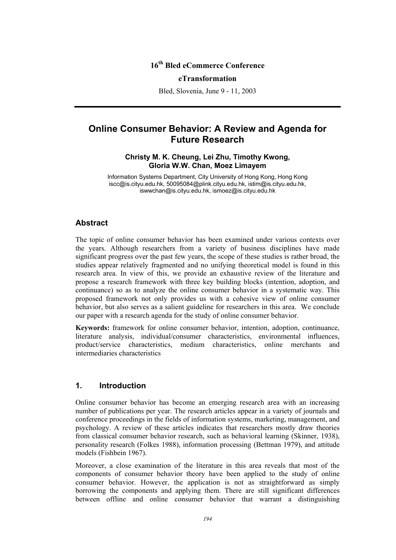## **16th Bled eCommerce Conference**

#### **eTransformation**

Bled, Slovenia, June 9 - 11, 2003

## **Online Consumer Behavior: A Review and Agenda for Future Research**

#### **Christy M. K. Cheung, Lei Zhu, Timothy Kwong, Gloria W.W. Chan, Moez Limayem**

Information Systems Department, City University of Hong Kong, Hong Kong iscc@is.cityu.edu.hk, 50095084@plink.cityu.edu.hk, istim@is.cityu.edu.hk, iswwchan@is.cityu.edu.hk, ismoez@is.cityu.edu.hk

#### **Abstract**

The topic of online consumer behavior has been examined under various contexts over the years. Although researchers from a variety of business disciplines have made significant progress over the past few years, the scope of these studies is rather broad, the studies appear relatively fragmented and no unifying theoretical model is found in this research area. In view of this, we provide an exhaustive review of the literature and propose a research framework with three key building blocks (intention, adoption, and continuance) so as to analyze the online consumer behavior in a systematic way. This proposed framework not only provides us with a cohesive view of online consumer behavior, but also serves as a salient guideline for researchers in this area. We conclude our paper with a research agenda for the study of online consumer behavior.

**Keywords:** framework for online consumer behavior, intention, adoption, continuance, literature analysis, individual/consumer characteristics, environmental influences, product/service characteristics, medium characteristics, online merchants and intermediaries characteristics

#### **1. Introduction**

Online consumer behavior has become an emerging research area with an increasing number of publications per year. The research articles appear in a variety of journals and conference proceedings in the fields of information systems, marketing, management, and psychology. A review of these articles indicates that researchers mostly draw theories from classical consumer behavior research, such as behavioral learning (Skinner, 1938), personality research (Folkes 1988), information processing (Bettman 1979), and attitude models (Fishbein 1967).

Moreover, a close examination of the literature in this area reveals that most of the components of consumer behavior theory have been applied to the study of online consumer behavior. However, the application is not as straightforward as simply borrowing the components and applying them. There are still significant differences between offline and online consumer behavior that warrant a distinguishing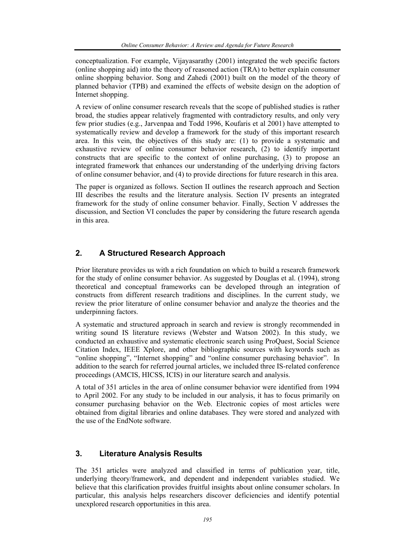conceptualization. For example, Vijayasarathy (2001) integrated the web specific factors (online shopping aid) into the theory of reasoned action (TRA) to better explain consumer online shopping behavior. Song and Zahedi (2001) built on the model of the theory of planned behavior (TPB) and examined the effects of website design on the adoption of Internet shopping.

A review of online consumer research reveals that the scope of published studies is rather broad, the studies appear relatively fragmented with contradictory results, and only very few prior studies (e.g., Jarvenpaa and Todd 1996, Koufaris et al 2001) have attempted to systematically review and develop a framework for the study of this important research area. In this vein, the objectives of this study are: (1) to provide a systematic and exhaustive review of online consumer behavior research, (2) to identify important constructs that are specific to the context of online purchasing, (3) to propose an integrated framework that enhances our understanding of the underlying driving factors of online consumer behavior, and (4) to provide directions for future research in this area.

The paper is organized as follows. Section II outlines the research approach and Section III describes the results and the literature analysis. Section IV presents an integrated framework for the study of online consumer behavior. Finally, Section V addresses the discussion, and Section VI concludes the paper by considering the future research agenda in this area.

## **2. A Structured Research Approach**

Prior literature provides us with a rich foundation on which to build a research framework for the study of online consumer behavior. As suggested by Douglas et al. (1994), strong theoretical and conceptual frameworks can be developed through an integration of constructs from different research traditions and disciplines. In the current study, we review the prior literature of online consumer behavior and analyze the theories and the underpinning factors.

A systematic and structured approach in search and review is strongly recommended in writing sound IS literature reviews (Webster and Watson 2002). In this study, we conducted an exhaustive and systematic electronic search using ProQuest, Social Science Citation Index, IEEE Xplore, and other bibliographic sources with keywords such as "online shopping", "Internet shopping" and "online consumer purchasing behavior". In addition to the search for referred journal articles, we included three IS-related conference proceedings (AMCIS, HICSS, ICIS) in our literature search and analysis.

A total of 351 articles in the area of online consumer behavior were identified from 1994 to April 2002. For any study to be included in our analysis, it has to focus primarily on consumer purchasing behavior on the Web. Electronic copies of most articles were obtained from digital libraries and online databases. They were stored and analyzed with the use of the EndNote software.

## **3. Literature Analysis Results**

The 351 articles were analyzed and classified in terms of publication year, title, underlying theory/framework, and dependent and independent variables studied. We believe that this clarification provides fruitful insights about online consumer scholars. In particular, this analysis helps researchers discover deficiencies and identify potential unexplored research opportunities in this area.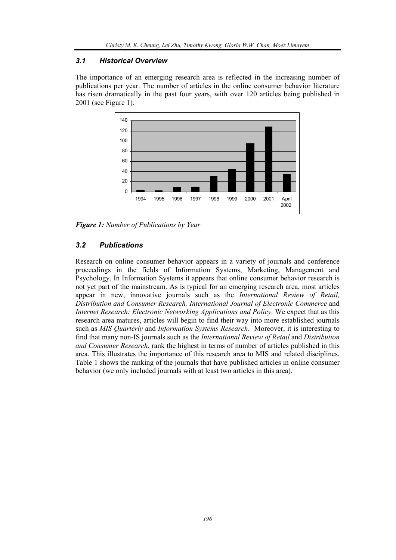#### *3.1 Historical Overview*

The importance of an emerging research area is reflected in the increasing number of publications per year. The number of articles in the online consumer behavior literature has risen dramatically in the past four years, with over 120 articles being published in 2001 (see Figure 1).



*Figure 1: Number of Publications by Year* 

#### *3.2 Publications*

Research on online consumer behavior appears in a variety of journals and conference proceedings in the fields of Information Systems, Marketing, Management and Psychology. In Information Systems it appears that online consumer behavior research is not yet part of the mainstream. As is typical for an emerging research area, most articles appear in new, innovative journals such as the *International Review of Retail, Distribution and Consumer Research, International Journal of Electronic Commerce* and *Internet Research: Electronic Networking Applications and Policy*. We expect that as this research area matures, articles will begin to find their way into more established journals such as *MIS Quarterly* and *Information Systems Research*. Moreover, it is interesting to find that many non-IS journals such as the *International Review of Retail* and *Distribution and Consumer Research*, rank the highest in terms of number of articles published in this area. This illustrates the importance of this research area to MIS and related disciplines. Table 1 shows the ranking of the journals that have published articles in online consumer behavior (we only included journals with at least two articles in this area).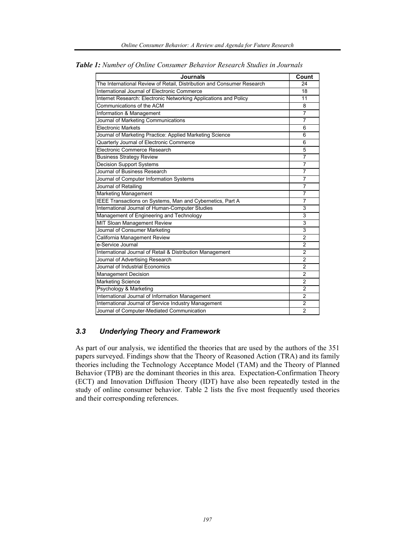| <b>Journals</b>                                                        | Count                   |
|------------------------------------------------------------------------|-------------------------|
| The International Review of Retail, Distribution and Consumer Research | 24                      |
| International Journal of Electronic Commerce                           | 18                      |
| Internet Research: Electronic Networking Applications and Policy       | 11                      |
| Communications of the ACM                                              | 8                       |
| Information & Management                                               | $\overline{7}$          |
| Journal of Marketing Communications                                    | $\overline{7}$          |
| <b>Electronic Markets</b>                                              | 6                       |
| Journal of Marketing Practice: Applied Marketing Science               | 6                       |
| Quarterly Journal of Electronic Commerce                               | 6                       |
| Electronic Commerce Research                                           | 5                       |
| <b>Business Strategy Review</b>                                        | $\overline{7}$          |
| <b>Decision Support Systems</b>                                        | $\overline{7}$          |
| Journal of Business Research                                           | $\overline{7}$          |
| Journal of Computer Information Systems                                | $\overline{7}$          |
| Journal of Retailing                                                   | $\overline{7}$          |
| <b>Marketing Management</b>                                            | 7                       |
| IEEE Transactions on Systems, Man and Cybernetics, Part A              | $\overline{7}$          |
| International Journal of Human-Computer Studies                        | 3                       |
| Management of Engineering and Technology                               | 3                       |
| MIT Sloan Management Review                                            | 3                       |
| Journal of Consumer Marketing                                          | $\overline{\mathbf{3}}$ |
| California Management Review                                           | $\overline{2}$          |
| e-Service Journal                                                      | $\overline{2}$          |
| International Journal of Retail & Distribution Management              | $\overline{2}$          |
| Journal of Advertising Research                                        | $\overline{2}$          |
| Journal of Industrial Economics                                        | $\overline{2}$          |
| <b>Management Decision</b>                                             | $\overline{2}$          |
| <b>Marketing Science</b>                                               | $\overline{2}$          |
| Psychology & Marketing                                                 | $\overline{2}$          |
| International Journal of Information Management                        | $\overline{2}$          |
| International Journal of Service Industry Management                   | $\overline{2}$          |
| Journal of Computer-Mediated Communication                             | $\overline{2}$          |

*Table 1: Number of Online Consumer Behavior Research Studies in Journals* 

#### *3.3 Underlying Theory and Framework*

As part of our analysis, we identified the theories that are used by the authors of the 351 papers surveyed. Findings show that the Theory of Reasoned Action (TRA) and its family theories including the Technology Acceptance Model (TAM) and the Theory of Planned Behavior (TPB) are the dominant theories in this area. Expectation-Confirmation Theory (ECT) and Innovation Diffusion Theory (IDT) have also been repeatedly tested in the study of online consumer behavior. Table 2 lists the five most frequently used theories and their corresponding references.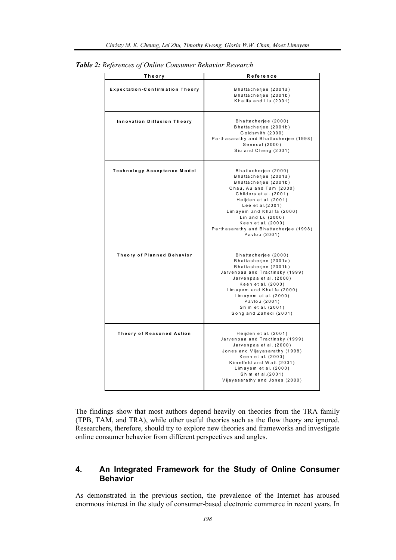| Theory                                 | Reference                                                                                                                                                                                                                                                                                                    |
|----------------------------------------|--------------------------------------------------------------------------------------------------------------------------------------------------------------------------------------------------------------------------------------------------------------------------------------------------------------|
| <b>Expectation-Confirmation Theory</b> | Bhattacherjee (2001a)<br>Bhattacherjee (2001b)<br>Khalifa and Liu (2001)                                                                                                                                                                                                                                     |
| Innovation Diffusion Theory            | Bhattacherjee (2000)<br>Bhattacherjee (2001b)<br>Goldsmith (2000)<br>Parthasarathy and Bhattacherjee (1998)<br>Senecal (2000)<br>Siu and Cheng (2001)                                                                                                                                                        |
| Technology Acceptance Model            | Bhattacherjee (2000)<br>Bhattacherjee (2001a)<br>Bhattacherjee (2001b)<br>Chau, Au and Tam (2000)<br>Childers et al. (2001)<br>Heijden et al. (2001)<br>Lee et al.(2001)<br>Limayem and Khalifa (2000)<br>Lin and Lu (2000)<br>Keen et al. (2000)<br>Parthasarathy and Bhattacherjee (1998)<br>Pavlou (2001) |
| Theory of Planned Behavior             | Bhattacherjee (2000)<br>Bhattacherjee (2001a)<br>Bhattacherjee (2001b)<br>Jarvenpaa and Tractinsky (1999)<br>Jarvenpaa et al. (2000)<br>Keen et al. (2000)<br>Limayem and Khalifa (2000)<br>Limayem et al. $(2000)$<br>Pavlou (2001)<br>Shim et al. (2001)<br>Song and Zahedi (2001)                         |
| Theory of Reasoned Action              | Heijden et al. (2001)<br>Jarvenpaa and Tractinsky (1999)<br>Jarvenpaa et al. (2000)<br>Jones and Vijayasarathy (1998)<br>Keen et al. (2000)<br>Kimelfeld and Watt (2001)<br>Limayem et al. $(2000)$<br>Shim et al.(2001)<br>Vijayasarathy and Jones (2000)                                                   |

*Table 2: References of Online Consumer Behavior Research* 

The findings show that most authors depend heavily on theories from the TRA family (TPB, TAM, and TRA), while other useful theories such as the flow theory are ignored. Researchers, therefore, should try to explore new theories and frameworks and investigate online consumer behavior from different perspectives and angles.

### **4. An Integrated Framework for the Study of Online Consumer Behavior**

As demonstrated in the previous section, the prevalence of the Internet has aroused enormous interest in the study of consumer-based electronic commerce in recent years. In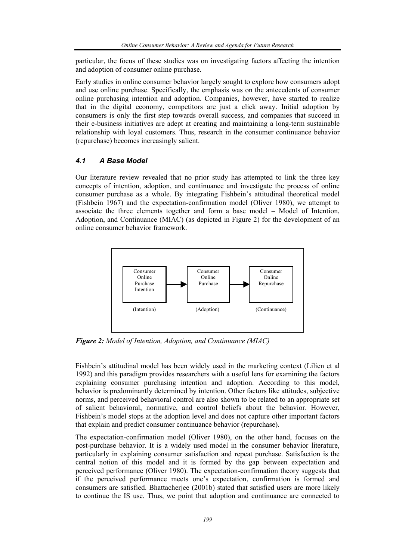particular, the focus of these studies was on investigating factors affecting the intention and adoption of consumer online purchase.

Early studies in online consumer behavior largely sought to explore how consumers adopt and use online purchase. Specifically, the emphasis was on the antecedents of consumer online purchasing intention and adoption. Companies, however, have started to realize that in the digital economy, competitors are just a click away. Initial adoption by consumers is only the first step towards overall success, and companies that succeed in their e-business initiatives are adept at creating and maintaining a long-term sustainable relationship with loyal customers. Thus, research in the consumer continuance behavior (repurchase) becomes increasingly salient.

#### *4.1 A Base Model*

Our literature review revealed that no prior study has attempted to link the three key concepts of intention, adoption, and continuance and investigate the process of online consumer purchase as a whole. By integrating Fishbein's attitudinal theoretical model (Fishbein 1967) and the expectation-confirmation model (Oliver 1980), we attempt to associate the three elements together and form a base model – Model of Intention, Adoption, and Continuance (MIAC) (as depicted in Figure 2) for the development of an online consumer behavior framework.



*Figure 2: Model of Intention, Adoption, and Continuance (MIAC)* 

Fishbein's attitudinal model has been widely used in the marketing context (Lilien et al 1992) and this paradigm provides researchers with a useful lens for examining the factors explaining consumer purchasing intention and adoption. According to this model, behavior is predominantly determined by intention. Other factors like attitudes, subjective norms, and perceived behavioral control are also shown to be related to an appropriate set of salient behavioral, normative, and control beliefs about the behavior. However, Fishbein's model stops at the adoption level and does not capture other important factors that explain and predict consumer continuance behavior (repurchase).

The expectation-confirmation model (Oliver 1980), on the other hand, focuses on the post-purchase behavior. It is a widely used model in the consumer behavior literature, particularly in explaining consumer satisfaction and repeat purchase. Satisfaction is the central notion of this model and it is formed by the gap between expectation and perceived performance (Oliver 1980). The expectation-confirmation theory suggests that if the perceived performance meets one's expectation, confirmation is formed and consumers are satisfied. Bhattacherjee (2001b) stated that satisfied users are more likely to continue the IS use. Thus, we point that adoption and continuance are connected to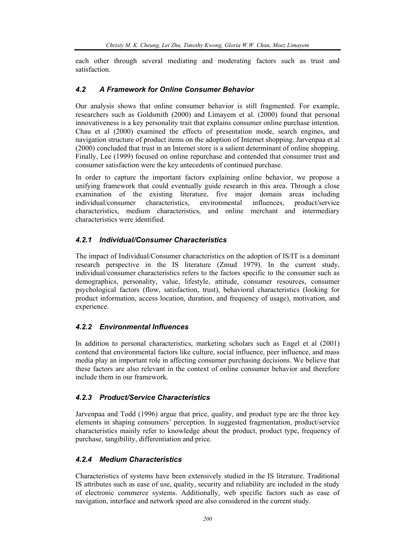each other through several mediating and moderating factors such as trust and satisfaction.

#### *4.2 A Framework for Online Consumer Behavior*

Our analysis shows that online consumer behavior is still fragmented. For example, researchers such as Goldsmith (2000) and Limayem et al. (2000) found that personal innovativeness is a key personality trait that explains consumer online purchase intention. Chau et al (2000) examined the effects of presentation mode, search engines, and navigation structure of product items on the adoption of Internet shopping. Jarvenpaa et al (2000) concluded that trust in an Internet store is a salient determinant of online shopping. Finally, Lee (1999) focused on online repurchase and contended that consumer trust and consumer satisfaction were the key antecedents of continued purchase.

In order to capture the important factors explaining online behavior, we propose a unifying framework that could eventually guide research in this area. Through a close examination of the existing literature, five major domain areas including individual/consumer characteristics, environmental influences, product/service characteristics, medium characteristics, and online merchant and intermediary characteristics were identified.

#### *4.2.1 Individual/Consumer Characteristics*

The impact of Individual/Consumer characteristics on the adoption of IS/IT is a dominant research perspective in the IS literature (Zmud 1979). In the current study, individual/consumer characteristics refers to the factors specific to the consumer such as demographics, personality, value, lifestyle, attitude, consumer resources, consumer psychological factors (flow, satisfaction, trust), behavioral characteristics (looking for product information, access location, duration, and frequency of usage), motivation, and experience.

#### *4.2.2 Environmental Influences*

In addition to personal characteristics, marketing scholars such as Engel et al (2001) contend that environmental factors like culture, social influence, peer influence, and mass media play an important role in affecting consumer purchasing decisions. We believe that these factors are also relevant in the context of online consumer behavior and therefore include them in our framework.

#### *4.2.3 Product/Service Characteristics*

Jarvenpaa and Todd (1996) argue that price, quality, and product type are the three key elements in shaping consumers' perception. In suggested fragmentation, product/service characteristics mainly refer to knowledge about the product, product type, frequency of purchase, tangibility, differentiation and price.

#### *4.2.4 Medium Characteristics*

Characteristics of systems have been extensively studied in the IS literature. Traditional IS attributes such as ease of use, quality, security and reliability are included in the study of electronic commerce systems. Additionally, web specific factors such as ease of navigation, interface and network speed are also considered in the current study.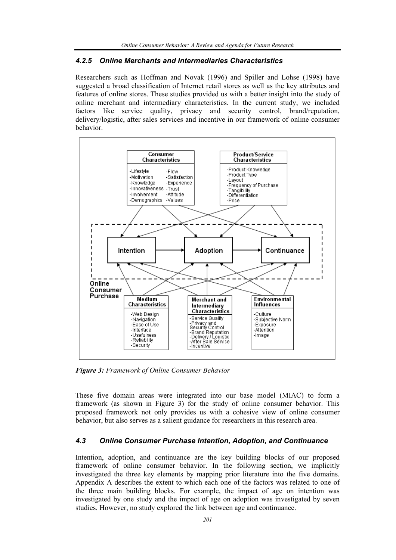#### *4.2.5 Online Merchants and Intermediaries Characteristics*

Researchers such as Hoffman and Novak (1996) and Spiller and Lohse (1998) have suggested a broad classification of Internet retail stores as well as the key attributes and features of online stores. These studies provided us with a better insight into the study of online merchant and intermediary characteristics. In the current study, we included factors like service quality, privacy and security control, brand/reputation, delivery/logistic, after sales services and incentive in our framework of online consumer behavior.



*Figure 3: Framework of Online Consumer Behavior* 

These five domain areas were integrated into our base model (MIAC) to form a framework (as shown in Figure 3) for the study of online consumer behavior. This proposed framework not only provides us with a cohesive view of online consumer behavior, but also serves as a salient guidance for researchers in this research area.

#### *4.3 Online Consumer Purchase Intention, Adoption, and Continuance*

Intention, adoption, and continuance are the key building blocks of our proposed framework of online consumer behavior. In the following section, we implicitly investigated the three key elements by mapping prior literature into the five domains. Appendix A describes the extent to which each one of the factors was related to one of the three main building blocks. For example, the impact of age on intention was investigated by one study and the impact of age on adoption was investigated by seven studies. However, no study explored the link between age and continuance.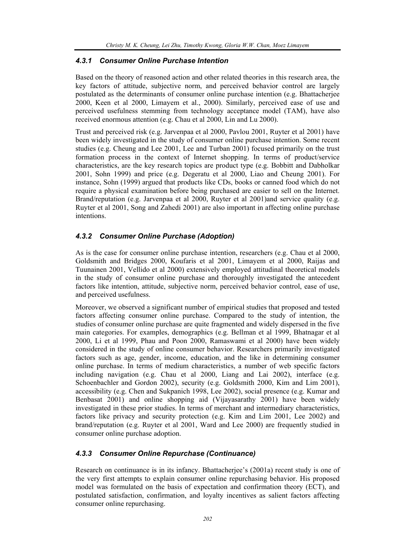#### *4.3.1 Consumer Online Purchase Intention*

Based on the theory of reasoned action and other related theories in this research area, the key factors of attitude, subjective norm, and perceived behavior control are largely postulated as the determinants of consumer online purchase intention (e.g. Bhattacherjee 2000, Keen et al 2000, Limayem et al., 2000). Similarly, perceived ease of use and perceived usefulness stemming from technology acceptance model (TAM), have also received enormous attention (e.g. Chau et al 2000, Lin and Lu 2000).

Trust and perceived risk (e.g. Jarvenpaa et al 2000, Pavlou 2001, Ruyter et al 2001) have been widely investigated in the study of consumer online purchase intention. Some recent studies (e.g. Cheung and Lee 2001, Lee and Turban 2001) focused primarily on the trust formation process in the context of Internet shopping. In terms of product/service characteristics, are the key research topics are product type (e.g. Bobbitt and Dabholkar 2001, Sohn 1999) and price (e.g. Degeratu et al 2000, Liao and Cheung 2001). For instance, Sohn (1999) argued that products like CDs, books or canned food which do not require a physical examination before being purchased are easier to sell on the Internet. Brand/reputation (e.g. Jarvenpaa et al 2000, Ruyter et al 2001)and service quality (e.g. Ruyter et al 2001, Song and Zahedi 2001) are also important in affecting online purchase intentions.

#### *4.3.2 Consumer Online Purchase (Adoption)*

As is the case for consumer online purchase intention, researchers (e.g. Chau et al 2000, Goldsmith and Bridges 2000, Koufaris et al 2001, Limayem et al 2000, Raijas and Tuunainen 2001, Vellido et al 2000) extensively employed attitudinal theoretical models in the study of consumer online purchase and thoroughly investigated the antecedent factors like intention, attitude, subjective norm, perceived behavior control, ease of use, and perceived usefulness.

Moreover, we observed a significant number of empirical studies that proposed and tested factors affecting consumer online purchase. Compared to the study of intention, the studies of consumer online purchase are quite fragmented and widely dispersed in the five main categories. For examples, demographics (e.g. Bellman et al 1999, Bhatnagar et al 2000, Li et al 1999, Phau and Poon 2000, Ramaswami et al 2000) have been widely considered in the study of online consumer behavior. Researchers primarily investigated factors such as age, gender, income, education, and the like in determining consumer online purchase. In terms of medium characteristics, a number of web specific factors including navigation (e.g. Chau et al 2000, Liang and Lai 2002), interface (e.g. Schoenbachler and Gordon 2002), security (e.g. Goldsmith 2000, Kim and Lim 2001), accessibility (e.g. Chen and Sukpanich 1998, Lee 2002), social presence (e.g. Kumar and Benbasat 2001) and online shopping aid (Vijayasarathy 2001) have been widely investigated in these prior studies. In terms of merchant and intermediary characteristics, factors like privacy and security protection (e.g. Kim and Lim 2001, Lee 2002) and brand/reputation (e.g. Ruyter et al 2001, Ward and Lee 2000) are frequently studied in consumer online purchase adoption.

#### *4.3.3 Consumer Online Repurchase (Continuance)*

Research on continuance is in its infancy. Bhattacherjee's (2001a) recent study is one of the very first attempts to explain consumer online repurchasing behavior. His proposed model was formulated on the basis of expectation and confirmation theory (ECT), and postulated satisfaction, confirmation, and loyalty incentives as salient factors affecting consumer online repurchasing.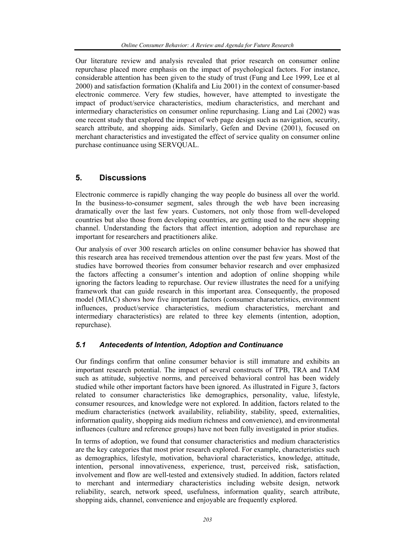Our literature review and analysis revealed that prior research on consumer online repurchase placed more emphasis on the impact of psychological factors. For instance, considerable attention has been given to the study of trust (Fung and Lee 1999, Lee et al 2000) and satisfaction formation (Khalifa and Liu 2001) in the context of consumer-based electronic commerce. Very few studies, however, have attempted to investigate the impact of product/service characteristics, medium characteristics, and merchant and intermediary characteristics on consumer online repurchasing. Liang and Lai (2002) was one recent study that explored the impact of web page design such as navigation, security, search attribute, and shopping aids. Similarly, Gefen and Devine (2001), focused on merchant characteristics and investigated the effect of service quality on consumer online purchase continuance using SERVQUAL.

#### **5. Discussions**

Electronic commerce is rapidly changing the way people do business all over the world. In the business-to-consumer segment, sales through the web have been increasing dramatically over the last few years. Customers, not only those from well-developed countries but also those from developing countries, are getting used to the new shopping channel. Understanding the factors that affect intention, adoption and repurchase are important for researchers and practitioners alike.

Our analysis of over 300 research articles on online consumer behavior has showed that this research area has received tremendous attention over the past few years. Most of the studies have borrowed theories from consumer behavior research and over emphasized the factors affecting a consumer's intention and adoption of online shopping while ignoring the factors leading to repurchase. Our review illustrates the need for a unifying framework that can guide research in this important area. Consequently, the proposed model (MIAC) shows how five important factors (consumer characteristics, environment influences, product/service characteristics, medium characteristics, merchant and intermediary characteristics) are related to three key elements (intention, adoption, repurchase).

#### *5.1 Antecedents of Intention, Adoption and Continuance*

Our findings confirm that online consumer behavior is still immature and exhibits an important research potential. The impact of several constructs of TPB, TRA and TAM such as attitude, subjective norms, and perceived behavioral control has been widely studied while other important factors have been ignored. As illustrated in Figure 3, factors related to consumer characteristics like demographics, personality, value, lifestyle, consumer resources, and knowledge were not explored. In addition, factors related to the medium characteristics (network availability, reliability, stability, speed, externalities, information quality, shopping aids medium richness and convenience), and environmental influences (culture and reference groups) have not been fully investigated in prior studies.

In terms of adoption, we found that consumer characteristics and medium characteristics are the key categories that most prior research explored. For example, characteristics such as demographics, lifestyle, motivation, behavioral characteristics, knowledge, attitude, intention, personal innovativeness, experience, trust, perceived risk, satisfaction, involvement and flow are well-tested and extensively studied. In addition, factors related to merchant and intermediary characteristics including website design, network reliability, search, network speed, usefulness, information quality, search attribute, shopping aids, channel, convenience and enjoyable are frequently explored.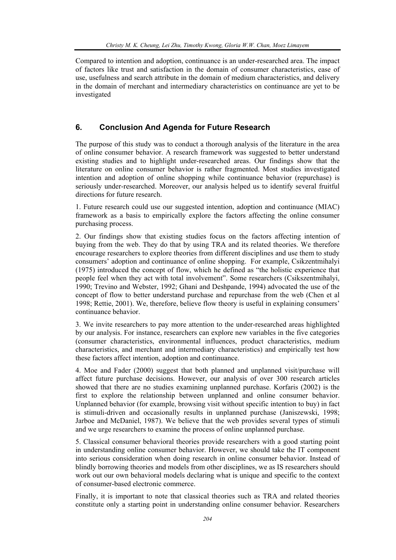Compared to intention and adoption, continuance is an under-researched area. The impact of factors like trust and satisfaction in the domain of consumer characteristics, ease of use, usefulness and search attribute in the domain of medium characteristics, and delivery in the domain of merchant and intermediary characteristics on continuance are yet to be investigated

## **6. Conclusion And Agenda for Future Research**

The purpose of this study was to conduct a thorough analysis of the literature in the area of online consumer behavior. A research framework was suggested to better understand existing studies and to highlight under-researched areas. Our findings show that the literature on online consumer behavior is rather fragmented. Most studies investigated intention and adoption of online shopping while continuance behavior (repurchase) is seriously under-researched. Moreover, our analysis helped us to identify several fruitful directions for future research.

1. Future research could use our suggested intention, adoption and continuance (MIAC) framework as a basis to empirically explore the factors affecting the online consumer purchasing process.

2. Our findings show that existing studies focus on the factors affecting intention of buying from the web. They do that by using TRA and its related theories. We therefore encourage researchers to explore theories from different disciplines and use them to study consumers' adoption and continuance of online shopping. For example, Csikzentmihalyi (1975) introduced the concept of flow, which he defined as "the holistic experience that people feel when they act with total involvement". Some researchers (Csikszentmihalyi, 1990; Trevino and Webster, 1992; Ghani and Deshpande, 1994) advocated the use of the concept of flow to better understand purchase and repurchase from the web (Chen et al 1998; Rettie, 2001). We, therefore, believe flow theory is useful in explaining consumers' continuance behavior.

3. We invite researchers to pay more attention to the under-researched areas highlighted by our analysis. For instance, researchers can explore new variables in the five categories (consumer characteristics, environmental influences, product characteristics, medium characteristics, and merchant and intermediary characteristics) and empirically test how these factors affect intention, adoption and continuance.

4. Moe and Fader (2000) suggest that both planned and unplanned visit/purchase will affect future purchase decisions. However, our analysis of over 300 research articles showed that there are no studies examining unplanned purchase. Korfaris (2002) is the first to explore the relationship between unplanned and online consumer behavior. Unplanned behavior (for example, browsing visit without specific intention to buy) in fact is stimuli-driven and occasionally results in unplanned purchase (Janiszewski, 1998; Jarboe and McDaniel, 1987). We believe that the web provides several types of stimuli and we urge researchers to examine the process of online unplanned purchase.

5. Classical consumer behavioral theories provide researchers with a good starting point in understanding online consumer behavior. However, we should take the IT component into serious consideration when doing research in online consumer behavior. Instead of blindly borrowing theories and models from other disciplines, we as IS researchers should work out our own behavioral models declaring what is unique and specific to the context of consumer-based electronic commerce.

Finally, it is important to note that classical theories such as TRA and related theories constitute only a starting point in understanding online consumer behavior. Researchers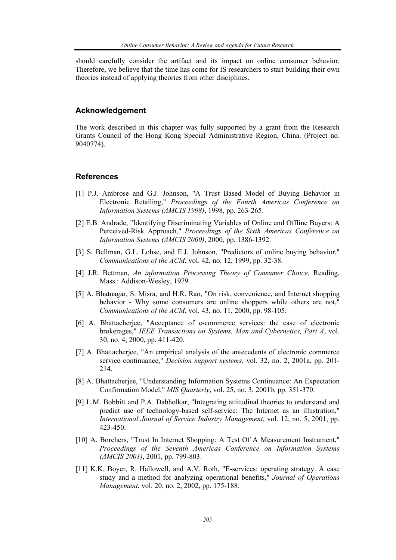should carefully consider the artifact and its impact on online consumer behavior. Therefore, we believe that the time has come for IS researchers to start building their own theories instead of applying theories from other disciplines.

#### **Acknowledgement**

The work described in this chapter was fully supported by a grant from the Research Grants Council of the Hong Kong Special Administrative Region, China. (Project no. 9040774).

#### **References**

- [1] P.J. Ambrose and G.J. Johnson, "A Trust Based Model of Buying Behavior in Electronic Retailing," *Proceedings of the Fourth Americas Conference on Information Systems (AMCIS 1998)*, 1998, pp. 263-265.
- [2] E.B. Andrade, "Identifying Discriminating Variables of Online and Offline Buyers: A Perceived-Risk Approach," *Proceedings of the Sixth Americas Conference on Information Systems (AMCIS 2000)*, 2000, pp. 1386-1392.
- [3] S. Bellman, G.L. Lohse, and E.J. Johnson, "Predictors of online buying behavior," *Communications of the ACM*, vol. 42, no. 12, 1999, pp. 32-38.
- [4] J.R. Bettman, *An information Processing Theory of Consumer Choice*, Reading, Mass.: Addison-Wesley, 1979.
- [5] A. Bhatnagar, S. Misra, and H.R. Rao, "On risk, convenience, and Internet shopping behavior - Why some consumers are online shoppers while others are not," *Communications of the ACM*, vol. 43, no. 11, 2000, pp. 98-105.
- [6] A. Bhattacherjee, "Acceptance of e-commerce services: the case of electronic brokerages," *IEEE Transactions on Systems, Man and Cybernetics, Part A*, vol. 30, no. 4, 2000, pp. 411-420.
- [7] A. Bhattacherjee, "An empirical analysis of the antecedents of electronic commerce service continuance," *Decision support systems*, vol. 32, no. 2, 2001a, pp. 201- 214.
- [8] A. Bhattacherjee, "Understanding Information Systems Continuance: An Expectation Confirmation Model," *MIS Quarterly*, vol. 25, no. 3, 2001b, pp. 351-370.
- [9] L.M. Bobbitt and P.A. Dabholkar, "Integrating attitudinal theories to understand and predict use of technology-based self-service: The Internet as an illustration," *International Journal of Service Industry Management*, vol. 12, no. 5, 2001, pp. 423-450.
- [10] A. Borchers, "Trust In Internet Shopping: A Test Of A Measurement Instrument," *Proceedings of the Seventh Americas Conference on Information Systems (AMCIS 2001)*, 2001, pp. 799-803.
- [11] K.K. Boyer, R. Hallowell, and A.V. Roth, "E-services: operating strategy. A case study and a method for analyzing operational benefits," *Journal of Operations Management*, vol. 20, no. 2, 2002, pp. 175-188.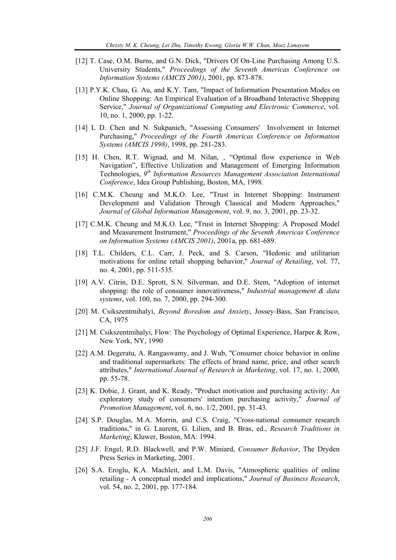- [12] T. Case, O.M. Burns, and G.N. Dick, "Drivers Of On-Line Purchasing Among U.S. University Students," *Proceedings of the Seventh Americas Conference on Information Systems (AMCIS 2001)*, 2001, pp. 873-878.
- [13] P.Y.K. Chau, G. Au, and K.Y. Tam, "Impact of Information Presentation Modes on Online Shopping: An Empirical Evaluation of a Broadband Interactive Shopping Service," *Journal of Organizational Computing and Electronic Commerce*, vol. 10, no. 1, 2000, pp. 1-22.
- [14] L D. Chen and N. Sukpanich, "Assessing Consumers' Involvement in Internet Purchasing," *Proceedings of the Fourth Americas Conference on Information Systems (AMCIS 1998)*, 1998, pp. 281-283.
- [15] H. Chen, R.T. Wignad, and M. Nilan, , "Optimal flow experience in Web Navigation", Effective Utilization and Management of Emerging Information Technologies, *9th Information Resources Management Association International Conference*, Idea Group Publishing, Boston, MA, 1998.
- [16] C.M.K. Cheung and M.K.O. Lee, "Trust in Internet Shopping: Instrument Development and Validation Through Classical and Modern Approaches," *Journal of Global Information Management*, vol. 9, no. 3, 2001, pp. 23-32.
- [17] C.M.K. Cheung and M.K.O. Lee, "Trust in Internet Shopping: A Proposed Model and Measurement Instrument," *Proceedings of the Seventh Americas Conference on Information Systems (AMCIS 2001)*, 2001a, pp. 681-689.
- [18] T.L. Childers, C.L. Carr, J. Peck, and S. Carson, "Hedonic and utilitarian motivations for online retail shopping behavior," *Journal of Retailing*, vol. 77, no. 4, 2001, pp. 511-535.
- [19] A.V. Citrin, D.E. Sprott, S.N. Silverman, and D.E. Stem, "Adoption of internet shopping: the role of consumer innovativeness," *Industrial management & data systems*, vol. 100, no. 7, 2000, pp. 294-300.
- [20] M. Csikszentmihalyi, *Beyond Boredom and Anxiety*, Jossey-Bass, San Francisco, CA, 1975
- [21] M. Csikszentmihalyi, Flow: The Psychology of Optimal Experience, Harper & Row, New York, NY, 1990
- [22] A.M. Degeratu, A. Rangaswamy, and J. Wub, "Consumer choice behavior in online and traditional supermarkets: The effects of brand name, price, and other search attributes," *International Journal of Research in Marketing*, vol. 17, no. 1, 2000, pp. 55-78.
- [23] K. Dobie, J. Grant, and K. Ready, "Product motivation and purchasing activity: An exploratory study of consumers' intention purchasing activity," *Journal of Promotion Management*, vol. 6, no. 1/2, 2001, pp. 31-43.
- [24] S.P. Douglas, M.A. Morrin, and C.S. Craig, "Cross-national consumer research traditions," in G. Laurent, G. Lilien, and B. Bras, ed., *Research Traditions in Marketing*, Kluwer, Boston, MA: 1994.
- [25] J.F. Engel, R.D. Blackwell, and P.W. Miniard, *Consumer Behavior*, The Dryden Press Series in Marketing, 2001.
- [26] S.A. Eroglu, K.A. Machleit, and L.M. Davis, "Atmospheric qualities of online retailing - A conceptual model and implications," *Journal of Business Research*, vol. 54, no. 2, 2001, pp. 177-184.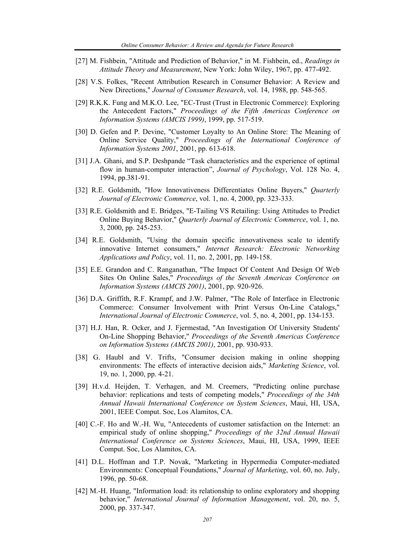- [27] M. Fishbein, "Attitude and Prediction of Behavior," in M. Fishbein, ed., *Readings in Attitude Theory and Measurement*, New York: John Wiley, 1967, pp. 477-492.
- [28] V.S. Folkes, "Recent Attribution Research in Consumer Behavior: A Review and New Directions," *Journal of Consumer Research*, vol. 14, 1988, pp. 548-565.
- [29] R.K.K. Fung and M.K.O. Lee, "EC-Trust (Trust in Electronic Commerce): Exploring the Antecedent Factors," *Proceedings of the Fifth Americas Conference on Information Systems (AMCIS 1999)*, 1999, pp. 517-519.
- [30] D. Gefen and P. Devine, "Customer Loyalty to An Online Store: The Meaning of Online Service Quality," *Proceedings of the International Conference of Information Systems 2001*, 2001, pp. 613-618.
- [31] J.A. Ghani, and S.P. Deshpande "Task characteristics and the experience of optimal flow in human-computer interaction", *Journal of Psychology*, Vol. 128 No. 4, 1994, pp.381-91.
- [32] R.E. Goldsmith, "How Innovativeness Differentiates Online Buyers," *Quarterly Journal of Electronic Commerce*, vol. 1, no. 4, 2000, pp. 323-333.
- [33] R.E. Goldsmith and E. Bridges, "E-Tailing VS Retailing: Using Attitudes to Predict Online Buying Behavior," *Quarterly Journal of Electronic Commerce*, vol. 1, no. 3, 2000, pp. 245-253.
- [34] R.E. Goldsmith, "Using the domain specific innovativeness scale to identify innovative Internet consumers," *Internet Research: Electronic Networking Applications and Policy*, vol. 11, no. 2, 2001, pp. 149-158.
- [35] E.E. Grandon and C. Ranganathan, "The Impact Of Content And Design Of Web Sites On Online Sales," *Proceedings of the Seventh Americas Conference on Information Systems (AMCIS 2001)*, 2001, pp. 920-926.
- [36] D.A. Griffith, R.F. Krampf, and J.W. Palmer, "The Role of Interface in Electronic Commerce: Consumer Involvement with Print Versus On-Line Catalogs," *International Journal of Electronic Commerce*, vol. 5, no. 4, 2001, pp. 134-153.
- [37] H.J. Han, R. Ocker, and J. Fjermestad, "An Investigation Of University Students' On-Line Shopping Behavior," *Proceedings of the Seventh Americas Conference on Information Systems (AMCIS 2001)*, 2001, pp. 930-933.
- [38] G. Haubl and V. Trifts, "Consumer decision making in online shopping environments: The effects of interactive decision aids," *Marketing Science*, vol. 19, no. 1, 2000, pp. 4-21.
- [39] H.v.d. Heijden, T. Verhagen, and M. Creemers, "Predicting online purchase behavior: replications and tests of competing models," *Proceedings of the 34th Annual Hawaii International Conference on System Sciences*, Maui, HI, USA, 2001, IEEE Comput. Soc, Los Alamitos, CA.
- [40] C.-F. Ho and W.-H. Wu, "Antecedents of customer satisfaction on the Internet: an empirical study of online shopping," *Proceedings of the 32nd Annual Hawaii International Conference on Systems Sciences*, Maui, HI, USA, 1999, IEEE Comput. Soc, Los Alamitos, CA.
- [41] D.L. Hoffman and T.P. Novak, "Marketing in Hypermedia Computer-mediated Environments: Conceptual Foundations," *Journal of Marketing*, vol. 60, no. July, 1996, pp. 50-68.
- [42] M.-H. Huang, "Information load: its relationship to online exploratory and shopping behavior," *International Journal of Information Management*, vol. 20, no. 5, 2000, pp. 337-347.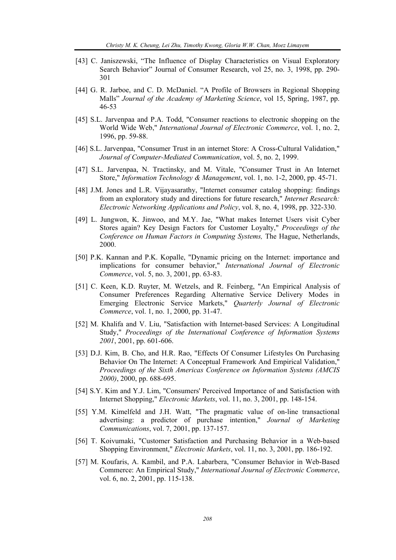- [43] C. Janiszewski, "The Influence of Display Characteristics on Visual Exploratory Search Behavior" Journal of Consumer Research, vol 25, no. 3, 1998, pp. 290- 301
- [44] G. R. Jarboe, and C. D. McDaniel. "A Profile of Browsers in Regional Shopping Malls" *Journal of the Academy of Marketing Science*, vol 15, Spring, 1987, pp. 46-53
- [45] S.L. Jarvenpaa and P.A. Todd, "Consumer reactions to electronic shopping on the World Wide Web," *International Journal of Electronic Commerce*, vol. 1, no. 2, 1996, pp. 59-88.
- [46] S.L. Jarvenpaa, "Consumer Trust in an internet Store: A Cross-Cultural Validation," *Journal of Computer-Mediated Communication*, vol. 5, no. 2, 1999.
- [47] S.L. Jarvenpaa, N. Tractinsky, and M. Vitale, "Consumer Trust in An Internet Store," *Information Technology & Management*, vol. 1, no. 1-2, 2000, pp. 45-71.
- [48] J.M. Jones and L.R. Vijayasarathy, "Internet consumer catalog shopping: findings from an exploratory study and directions for future research," *Internet Research: Electronic Networking Applications and Policy*, vol. 8, no. 4, 1998, pp. 322-330.
- [49] L. Jungwon, K. Jinwoo, and M.Y. Jae, "What makes Internet Users visit Cyber Stores again? Key Design Factors for Customer Loyalty," *Proceedings of the Conference on Human Factors in Computing Systems,* The Hague, Netherlands, 2000.
- [50] P.K. Kannan and P.K. Kopalle, "Dynamic pricing on the Internet: importance and implications for consumer behavior," *International Journal of Electronic Commerce*, vol. 5, no. 3, 2001, pp. 63-83.
- [51] C. Keen, K.D. Ruyter, M. Wetzels, and R. Feinberg, "An Empirical Analysis of Consumer Preferences Regarding Alternative Service Delivery Modes in Emerging Electronic Service Markets," *Quarterly Journal of Electronic Commerce*, vol. 1, no. 1, 2000, pp. 31-47.
- [52] M. Khalifa and V. Liu, "Satisfaction with Internet-based Services: A Longitudinal Study," *Proceedings of the International Conference of Information Systems 2001*, 2001, pp. 601-606.
- [53] D.J. Kim, B. Cho, and H.R. Rao, "Effects Of Consumer Lifestyles On Purchasing Behavior On The Internet: A Conceptual Framework And Empirical Validation," *Proceedings of the Sixth Americas Conference on Information Systems (AMCIS 2000)*, 2000, pp. 688-695.
- [54] S.Y. Kim and Y.J. Lim, "Consumers' Perceived Importance of and Satisfaction with Internet Shopping," *Electronic Markets*, vol. 11, no. 3, 2001, pp. 148-154.
- [55] Y.M. Kimelfeld and J.H. Watt, "The pragmatic value of on-line transactional advertising: a predictor of purchase intention," *Journal of Marketing Communications*, vol. 7, 2001, pp. 137-157.
- [56] T. Koivumaki, "Customer Satisfaction and Purchasing Behavior in a Web-based Shopping Environment," *Electronic Markets*, vol. 11, no. 3, 2001, pp. 186-192.
- [57] M. Koufaris, A. Kambil, and P.A. Labarbera, "Consumer Behavior in Web-Based Commerce: An Empirical Study," *International Journal of Electronic Commerce*, vol. 6, no. 2, 2001, pp. 115-138.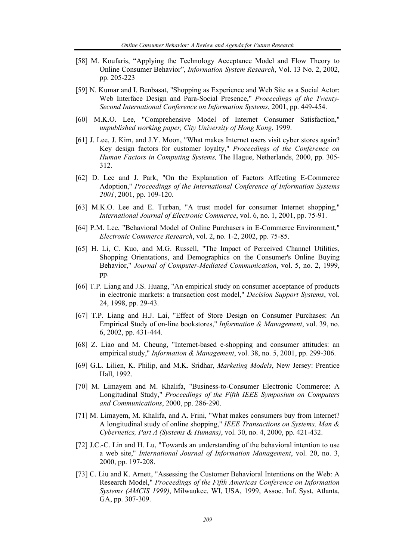- [58] M. Koufaris, "Applying the Technology Acceptance Model and Flow Theory to Online Consumer Behavior", *Information System Research*, Vol. 13 No. 2, 2002, pp. 205-223
- [59] N. Kumar and I. Benbasat, "Shopping as Experience and Web Site as a Social Actor: Web Interface Design and Para-Social Presence," *Proceedings of the Twenty-Second International Conference on Information Systems*, 2001, pp. 449-454.
- [60] M.K.O. Lee, "Comprehensive Model of Internet Consumer Satisfaction," *unpublished working paper, City University of Hong Kong*, 1999.
- [61] J. Lee, J. Kim, and J.Y. Moon, "What makes Internet users visit cyber stores again? Key design factors for customer loyalty," *Proceedings of the Conference on Human Factors in Computing Systems,* The Hague, Netherlands, 2000, pp. 305- 312.
- [62] D. Lee and J. Park, "On the Explanation of Factors Affecting E-Commerce Adoption," *Proceedings of the International Conference of Information Systems 2001*, 2001, pp. 109-120.
- [63] M.K.O. Lee and E. Turban, "A trust model for consumer Internet shopping," *International Journal of Electronic Commerce*, vol. 6, no. 1, 2001, pp. 75-91.
- [64] P.M. Lee, "Behavioral Model of Online Purchasers in E-Commerce Environment," *Electronic Commerce Research*, vol. 2, no. 1-2, 2002, pp. 75-85.
- [65] H. Li, C. Kuo, and M.G. Russell, "The Impact of Perceived Channel Utilities, Shopping Orientations, and Demographics on the Consumer's Online Buying Behavior," *Journal of Computer-Mediated Communication*, vol. 5, no. 2, 1999, pp.
- [66] T.P. Liang and J.S. Huang, "An empirical study on consumer acceptance of products in electronic markets: a transaction cost model," *Decision Support Systems*, vol. 24, 1998, pp. 29-43.
- [67] T.P. Liang and H.J. Lai, "Effect of Store Design on Consumer Purchases: An Empirical Study of on-line bookstores," *Information & Management*, vol. 39, no. 6, 2002, pp. 431-444.
- [68] Z. Liao and M. Cheung, "Internet-based e-shopping and consumer attitudes: an empirical study," *Information & Management*, vol. 38, no. 5, 2001, pp. 299-306.
- [69] G.L. Lilien, K. Philip, and M.K. Sridhar, *Marketing Models*, New Jersey: Prentice Hall, 1992.
- [70] M. Limayem and M. Khalifa, "Business-to-Consumer Electronic Commerce: A Longitudinal Study," *Proceedings of the Fifth IEEE Symposium on Computers and Communications*, 2000, pp. 286-290.
- [71] M. Limayem, M. Khalifa, and A. Frini, "What makes consumers buy from Internet? A longitudinal study of online shopping," *IEEE Transactions on Systems, Man & Cybernetics, Part A (Systems & Humans)*, vol. 30, no. 4, 2000, pp. 421-432.
- [72] J.C.-C. Lin and H. Lu, "Towards an understanding of the behavioral intention to use a web site," *International Journal of Information Management*, vol. 20, no. 3, 2000, pp. 197-208.
- [73] C. Liu and K. Arnett, "Assessing the Customer Behavioral Intentions on the Web: A Research Model," *Proceedings of the Fifth Americas Conference on Information Systems (AMCIS 1999)*, Milwaukee, WI, USA, 1999, Assoc. Inf. Syst, Atlanta, GA, pp. 307-309.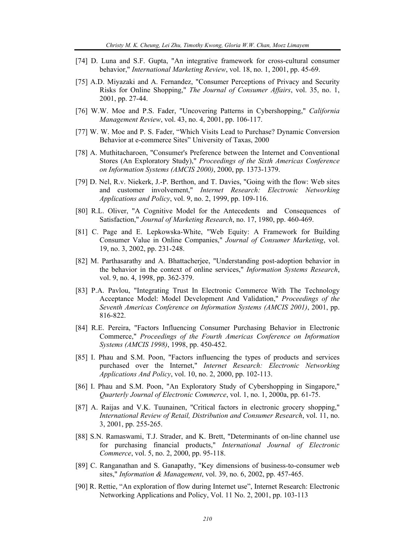- [74] D. Luna and S.F. Gupta, "An integrative framework for cross-cultural consumer behavior," *International Marketing Review*, vol. 18, no. 1, 2001, pp. 45-69.
- [75] A.D. Miyazaki and A. Fernandez, "Consumer Perceptions of Privacy and Security Risks for Online Shopping," *The Journal of Consumer Affairs*, vol. 35, no. 1, 2001, pp. 27-44.
- [76] W.W. Moe and P.S. Fader, "Uncovering Patterns in Cybershopping," *California Management Review*, vol. 43, no. 4, 2001, pp. 106-117.
- [77] W. W. Moe and P. S. Fader, "Which Visits Lead to Purchase? Dynamic Conversion Behavior at e-commerce Sites" University of Taxas, 2000
- [78] A. Muthitacharoen, "Consumer's Preference between the Internet and Conventional Stores (An Exploratory Study)," *Proceedings of the Sixth Americas Conference on Information Systems (AMCIS 2000)*, 2000, pp. 1373-1379.
- [79] D. Nel, R.v. Niekerk, J.-P. Berthon, and T. Davies, "Going with the flow: Web sites and customer involvement," *Internet Research: Electronic Networking Applications and Policy*, vol. 9, no. 2, 1999, pp. 109-116.
- [80] R.L. Oliver, "A Cognitive Model for the Antecedents and Consequences of Satisfaction," *Journal of Marketing Research*, no. 17, 1980, pp. 460-469.
- [81] C. Page and E. Lepkowska-White, "Web Equity: A Framework for Building Consumer Value in Online Companies," *Journal of Consumer Marketing*, vol. 19, no. 3, 2002, pp. 231-248.
- [82] M. Parthasarathy and A. Bhattacherjee, "Understanding post-adoption behavior in the behavior in the context of online services," *Information Systems Research*, vol. 9, no. 4, 1998, pp. 362-379.
- [83] P.A. Pavlou, "Integrating Trust In Electronic Commerce With The Technology Acceptance Model: Model Development And Validation," *Proceedings of the Seventh Americas Conference on Information Systems (AMCIS 2001)*, 2001, pp. 816-822.
- [84] R.E. Pereira, "Factors Influencing Consumer Purchasing Behavior in Electronic Commerce," *Proceedings of the Fourth Americas Conference on Information Systems (AMCIS 1998)*, 1998, pp. 450-452.
- [85] I. Phau and S.M. Poon, "Factors influencing the types of products and services purchased over the Internet," *Internet Research: Electronic Networking Applications And Policy*, vol. 10, no. 2, 2000, pp. 102-113.
- [86] I. Phau and S.M. Poon, "An Exploratory Study of Cybershopping in Singapore," *Quarterly Journal of Electronic Commerce*, vol. 1, no. 1, 2000a, pp. 61-75.
- [87] A. Raijas and V.K. Tuunainen, "Critical factors in electronic grocery shopping," *International Review of Retail, Distribution and Consumer Research*, vol. 11, no. 3, 2001, pp. 255-265.
- [88] S.N. Ramaswami, T.J. Strader, and K. Brett, "Determinants of on-line channel use for purchasing financial products," *International Journal of Electronic Commerce*, vol. 5, no. 2, 2000, pp. 95-118.
- [89] C. Ranganathan and S. Ganapathy, "Key dimensions of business-to-consumer web sites," *Information & Management*, vol. 39, no. 6, 2002, pp. 457-465.
- [90] R. Rettie, "An exploration of flow during Internet use", Internet Research: Electronic Networking Applications and Policy, Vol. 11 No. 2, 2001, pp. 103-113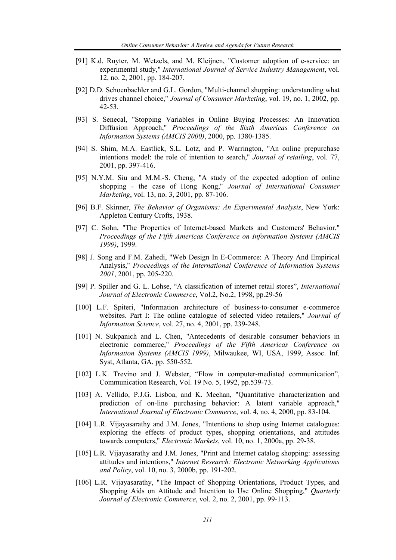- [91] K.d. Ruyter, M. Wetzels, and M. Kleijnen, "Customer adoption of e-service: an experimental study," *International Journal of Service Industry Management*, vol. 12, no. 2, 2001, pp. 184-207.
- [92] D.D. Schoenbachler and G.L. Gordon, "Multi-channel shopping: understanding what drives channel choice," *Journal of Consumer Marketing*, vol. 19, no. 1, 2002, pp. 42-53.
- [93] S. Senecal, "Stopping Variables in Online Buying Processes: An Innovation Diffusion Approach," *Proceedings of the Sixth Americas Conference on Information Systems (AMCIS 2000)*, 2000, pp. 1380-1385.
- [94] S. Shim, M.A. Eastlick, S.L. Lotz, and P. Warrington, "An online prepurchase intentions model: the role of intention to search," *Journal of retailing*, vol. 77, 2001, pp. 397-416.
- [95] N.Y.M. Siu and M.M.-S. Cheng, "A study of the expected adoption of online shopping - the case of Hong Kong," *Journal of International Consumer Marketing*, vol. 13, no. 3, 2001, pp. 87-106.
- [96] B.F. Skinner, *The Behavior of Organisms: An Experimental Analysis*, New York: Appleton Century Crofts, 1938.
- [97] C. Sohn, "The Properties of Internet-based Markets and Customers' Behavior," *Proceedings of the Fifth Americas Conference on Information Systems (AMCIS 1999)*, 1999.
- [98] J. Song and F.M. Zahedi, "Web Design In E-Commerce: A Theory And Empirical Analysis," *Proceedings of the International Conference of Information Systems 2001*, 2001, pp. 205-220.
- [99] P. Spiller and G. L. Lohse, "A classification of internet retail stores", *International Journal of Electronic Commerce*, Vol.2, No.2, 1998, pp.29-56
- [100] L.F. Spiteri, "Information architecture of business-to-consumer e-commerce websites. Part I: The online catalogue of selected video retailers," *Journal of Information Science*, vol. 27, no. 4, 2001, pp. 239-248.
- [101] N. Sukpanich and L. Chen, "Antecedents of desirable consumer behaviors in electronic commerce," *Proceedings of the Fifth Americas Conference on Information Systems (AMCIS 1999)*, Milwaukee, WI, USA, 1999, Assoc. Inf. Syst, Atlanta, GA, pp. 550-552.
- [102] L.K. Trevino and J. Webster, "Flow in computer-mediated communication", Communication Research, Vol. 19 No. 5, 1992, pp.539-73.
- [103] A. Vellido, P.J.G. Lisboa, and K. Meehan, "Quantitative characterization and prediction of on-line purchasing behavior: A latent variable approach," *International Journal of Electronic Commerce*, vol. 4, no. 4, 2000, pp. 83-104.
- [104] L.R. Vijayasarathy and J.M. Jones, "Intentions to shop using Internet catalogues: exploring the effects of product types, shopping orientations, and attitudes towards computers," *Electronic Markets*, vol. 10, no. 1, 2000a, pp. 29-38.
- [105] L.R. Vijayasarathy and J.M. Jones, "Print and Internet catalog shopping: assessing attitudes and intentions," *Internet Research: Electronic Networking Applications and Policy*, vol. 10, no. 3, 2000b, pp. 191-202.
- [106] L.R. Vijayasarathy, "The Impact of Shopping Orientations, Product Types, and Shopping Aids on Attitude and Intention to Use Online Shopping," *Quarterly Journal of Electronic Commerce*, vol. 2, no. 2, 2001, pp. 99-113.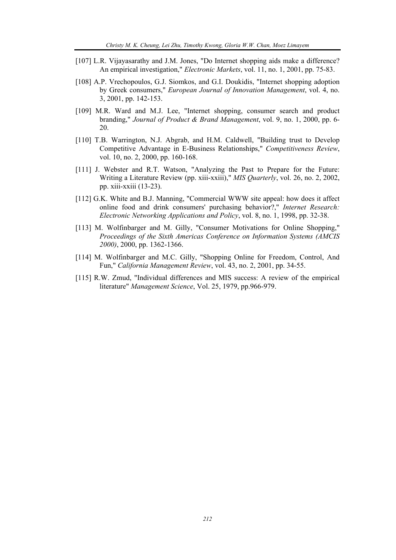- [107] L.R. Vijayasarathy and J.M. Jones, "Do Internet shopping aids make a difference? An empirical investigation," *Electronic Markets*, vol. 11, no. 1, 2001, pp. 75-83.
- [108] A.P. Vrechopoulos, G.J. Siomkos, and G.I. Doukidis, "Internet shopping adoption by Greek consumers," *European Journal of Innovation Management*, vol. 4, no. 3, 2001, pp. 142-153.
- [109] M.R. Ward and M.J. Lee, "Internet shopping, consumer search and product branding," *Journal of Product & Brand Management*, vol. 9, no. 1, 2000, pp. 6- 20.
- [110] T.B. Warrington, N.J. Abgrab, and H.M. Caldwell, "Building trust to Develop Competitive Advantage in E-Business Relationships," *Competitiveness Review*, vol. 10, no. 2, 2000, pp. 160-168.
- [111] J. Webster and R.T. Watson, "Analyzing the Past to Prepare for the Future: Writing a Literature Review (pp. xiii-xxiii)," *MIS Quarterly*, vol. 26, no. 2, 2002, pp. xiii-xxiii (13-23).
- [112] G.K. White and B.J. Manning, "Commercial WWW site appeal: how does it affect online food and drink consumers' purchasing behavior?," *Internet Research: Electronic Networking Applications and Policy*, vol. 8, no. 1, 1998, pp. 32-38.
- [113] M. Wolfinbarger and M. Gilly, "Consumer Motivations for Online Shopping," *Proceedings of the Sixth Americas Conference on Information Systems (AMCIS 2000)*, 2000, pp. 1362-1366.
- [114] M. Wolfinbarger and M.C. Gilly, "Shopping Online for Freedom, Control, And Fun," *California Management Review*, vol. 43, no. 2, 2001, pp. 34-55.
- [115] R.W. Zmud, "Individual differences and MIS success: A review of the empirical literature" *Management Science*, Vol. 25, 1979, pp.966-979.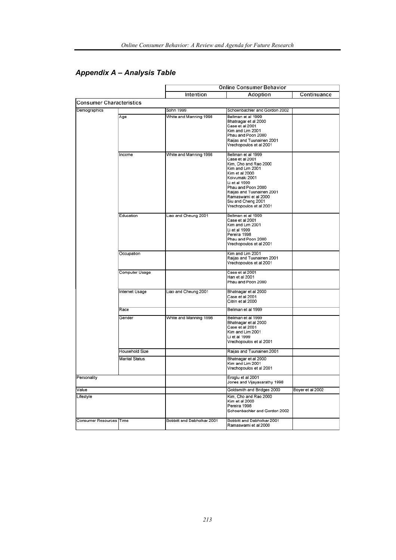|                                 |                | Online Consumer Behavior   |                                                                                                                                                                                                                                                                     |                  |  |
|---------------------------------|----------------|----------------------------|---------------------------------------------------------------------------------------------------------------------------------------------------------------------------------------------------------------------------------------------------------------------|------------------|--|
|                                 |                | Intention                  | Adoption                                                                                                                                                                                                                                                            | Continuance      |  |
| <b>Consumer Characteristics</b> |                |                            |                                                                                                                                                                                                                                                                     |                  |  |
| Demographics                    |                | Sohn 1999                  | Schoenbachler and Gordon 2002                                                                                                                                                                                                                                       |                  |  |
|                                 | Age            | White and Manning 1998     | Bellman et al 1999<br>Bhatnagar et al 2000<br>Case et al 2001<br>Kim and Lim 2001<br>Phau and Poon 2000<br>Raijas and Tuunainen 2001<br>Vrechopoulos et al 2001                                                                                                     |                  |  |
|                                 | Income         | White and Manning 1998     | Bellman et al 1999<br>Case et al 2001<br>Kim, Cho and Rao 2000<br>Kim and Lim 2001<br>Kim et al 2000<br>Koivumaki 2001<br>Li et al 1999<br>Phau and Poon 2000<br>Raijas and Tuunainen 2001<br>Ramaswami et al 2000<br>Siu and Cheng 2001<br>Vrechopoulos et al 2001 |                  |  |
|                                 | Education      | Liao and Cheung 2001       | Bellman et al 1999<br>Case et al 2001<br>Kim and Lim 2001<br>Li et al 1999<br>Pereira 1998<br>Phau and Poon 2000<br>Vrechopoulos et al 2001                                                                                                                         |                  |  |
|                                 | Occupation     |                            | Kim and Lim 2001<br>Raijas and Tuunainen 2001<br>Vrechopoulos et al 2001                                                                                                                                                                                            |                  |  |
|                                 | Computer Usage |                            | Case et al 2001<br>Han et al 2001<br>Phau and Poon 2000                                                                                                                                                                                                             |                  |  |
|                                 | Internet Usage | Liao and Cheung 2001       | Bhatnagar et al 2000<br>Case et al 2001<br>Citrin et al 2000                                                                                                                                                                                                        |                  |  |
|                                 | Race           |                            | Bellman et al 1999                                                                                                                                                                                                                                                  |                  |  |
|                                 | Gender         | White and Manning 1998     | Bellman et al 1999<br>Bhatnagar et al 2000<br>Case et al 2001<br>Kim and Lim 2001<br>Li et al 1999<br>Vrechopoulos et al 2001                                                                                                                                       |                  |  |
|                                 | Household Size |                            | Raijas and Tuunainen 2001                                                                                                                                                                                                                                           |                  |  |
|                                 | Marital Status |                            | Bhatnagar et al 2000<br>Kim and Lim 2001<br>Vrechopoulos et al 2001                                                                                                                                                                                                 |                  |  |
| Personality                     |                |                            | Eroglu et al 2001<br>Jones and Vijayasarathy 1998                                                                                                                                                                                                                   |                  |  |
| Value                           |                |                            | Goldsmith and Bridges 2000                                                                                                                                                                                                                                          | Boyer et al 2002 |  |
| Lifestyle                       |                |                            | Kim, Cho and Rao 2000<br>Kim et al 2000<br>Pereira 1998<br>Schoenbachler and Gordon 2002                                                                                                                                                                            |                  |  |
| Consumer Resources   Time       |                | Bobbitt and Dabholkar 2001 | Bobbitt and Dabholkar 2001<br>Ramaswami et al 2000                                                                                                                                                                                                                  |                  |  |

# *Appendix A – Analysis Table*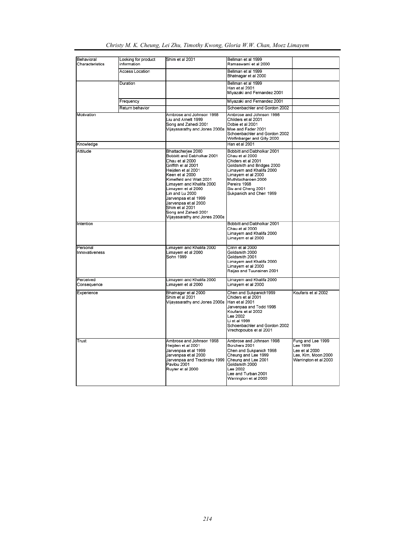| Behavioral<br>Looking for product<br>Characteristics<br>information |                 | Shim et al 2001                                                                                                                                                                                                                                                                                                                                                 | Bellman et al 1999<br>Ramaswami et al 2000                                                                                                                                                                                                  |                                                                                                 |
|---------------------------------------------------------------------|-----------------|-----------------------------------------------------------------------------------------------------------------------------------------------------------------------------------------------------------------------------------------------------------------------------------------------------------------------------------------------------------------|---------------------------------------------------------------------------------------------------------------------------------------------------------------------------------------------------------------------------------------------|-------------------------------------------------------------------------------------------------|
| Access Location                                                     |                 |                                                                                                                                                                                                                                                                                                                                                                 | Bellman et al 1999<br>Bhatnagar et al 2000                                                                                                                                                                                                  |                                                                                                 |
|                                                                     | Duration        |                                                                                                                                                                                                                                                                                                                                                                 | Bellman et al 1999<br>Han et al 2001<br>Miyazaki and Fernandez 2001                                                                                                                                                                         |                                                                                                 |
| Frequency                                                           |                 |                                                                                                                                                                                                                                                                                                                                                                 | Miyazaki and Fernandez 2001                                                                                                                                                                                                                 |                                                                                                 |
|                                                                     | Return behavior |                                                                                                                                                                                                                                                                                                                                                                 | Schoenbachler and Gordon 2002                                                                                                                                                                                                               |                                                                                                 |
| Motivation                                                          |                 | Ambrose and Johnson 1998<br>Liu and Arnett 1999<br>Song and Zahedi 2001<br>Vijayasarathy and Jones 2000a                                                                                                                                                                                                                                                        | Ambrose and Johnson 1998<br>Childers et al 2001<br>Dobie et al 2001<br>Moe and Fader 2001<br>Schoenbachler and Gordon 2002<br>Wolfinbarger and Gilly 2000                                                                                   |                                                                                                 |
| Knowledge                                                           |                 |                                                                                                                                                                                                                                                                                                                                                                 | Han et al 2001                                                                                                                                                                                                                              |                                                                                                 |
| Attitude                                                            |                 | Bhattacherjee 2000<br>Bobbitt and Dabholkar 2001<br>Chau et al 2000<br>Griffith et al 2001<br>Heijden et al 2001<br>Keen et al 2000<br>Kimelfeld and Watt 2001<br>Limayem and Khalifa 2000<br>Limayem et al 2000<br>Lin and Lu 2000<br>Jarvenpaa et al 1999<br>Jarvenpaa et al 2000<br>Shim et al 2001<br>Song and Zahedi 2001<br>Vijayasarathy and Jones 2000a | Bobbitt and Dabholkar 2001<br>Chau et al 2000<br>Chiders et al 2001<br>Goldsmith and Bridges 2000<br>Limayem and Khalifa 2000<br>Limayem et al 2000<br>Muthitacharoen 2000<br>Pereira 1998<br>Siu and Cheng 2001<br>Sukpanich and Chen 1999 |                                                                                                 |
| Intention                                                           |                 |                                                                                                                                                                                                                                                                                                                                                                 | Bobbitt and Dabholkar 2001<br>Chau et al 2000<br>Limayem and Khalifa 2000<br>Limayem et al 2000                                                                                                                                             |                                                                                                 |
| Personal<br>Innovativeness                                          |                 | Limayem and Khalifa 2000<br>Limayem et al 2000<br>Sohn 1999                                                                                                                                                                                                                                                                                                     | Citrin et al 2000<br>Goldsmith 2000<br>Goldsmith 2001<br>Limayem and Khalifa 2000<br>Limayem et al 2000<br>Raijas and Tuunainen 2001                                                                                                        |                                                                                                 |
| Perceived<br>Consequence                                            |                 | Limayem and Khalifa 2000<br>Limayem et al 2000                                                                                                                                                                                                                                                                                                                  | Limayem and Khalifa 2000<br>Limayem et al 2000                                                                                                                                                                                              |                                                                                                 |
| Experience                                                          |                 | Bhatnagar et al 2000<br>Shim et al 2001<br>Vijayasarathy and Jones 2000a                                                                                                                                                                                                                                                                                        | Chen and Sukpanich1999<br>Chiders et al 2001<br>Han et al 2001<br>Jarvenpaa and Todd 1996<br>Koufaris et al 2002<br>Lee 2002<br>Li et al 1999<br>Schoenbachler and Gordon 2002<br>Vrechopoulos et al 2001                                   | Koufaris et al 2002                                                                             |
| Trust                                                               |                 | Ambrose and Johnson 1998<br>Heijden et al 2001<br>Jarvenpaa et al 1999<br>Jarvenpaa et al 2000<br>Jarvenpaa and Tractinsky 1999<br>Pavlou 2001<br>Ruyter et al 2000                                                                                                                                                                                             | Ambrose and Johnson 1998<br>Borchers 2001<br>Chen and Sukpanich 1998<br>Cheung and Lee 1999<br>Cheung and Lee 2001<br>Goldsmith 2000<br>Lee 2002<br>Lee and Turban 2001<br>Warrington et al 2000                                            | Fung and Lee 1999<br>Lee 1999<br>Lee et al 2000<br>Lee, Kim, Moon 2000<br>Warrington et al 2000 |

*Christy M. K. Cheung, Lei Zhu, Timothy Kwong, Gloria W.W. Chan, Moez Limayem*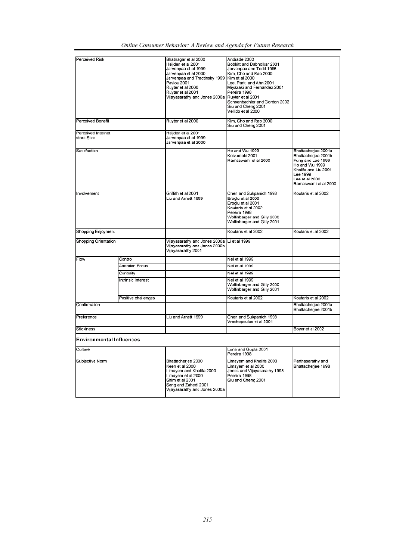| <b>Perceived Risk</b>           |                        | Bhatnagar et al 2000<br>Heijden et al 2001<br>Jarvenpaa et al 1999 | Andrade 2000<br>Bobbitt and Dabholkar 2001<br>Jarvenpaa and Todd 1996 |                                            |
|---------------------------------|------------------------|--------------------------------------------------------------------|-----------------------------------------------------------------------|--------------------------------------------|
|                                 |                        | Jarvenpaa et al 2000                                               | Kim, Cho and Rao 2000                                                 |                                            |
|                                 |                        | Jarvenpaa and Tractinsky 1999                                      | Kim et al 2000                                                        |                                            |
|                                 |                        | Pavlou 2001                                                        | Lee, Park, and Ahn 2001                                               |                                            |
|                                 |                        | Ruyter et al 2000                                                  | Miyazaki and Fernandez 2001                                           |                                            |
|                                 |                        | Ruyter et al 2001                                                  | Pereira 1998                                                          |                                            |
|                                 |                        | Vijayasarathy and Jones 2000a                                      | Ruvter et al 2001                                                     |                                            |
|                                 |                        |                                                                    | Schoenbachler and Gordon 2002                                         |                                            |
|                                 |                        |                                                                    | Siu and Cheng 2001                                                    |                                            |
|                                 |                        |                                                                    | Vellido et al 2000                                                    |                                            |
| <b>Perceived Benefit</b>        |                        | Ruyter et al 2000                                                  | Kim, Cho and Rao 2000<br>Siu and Cheng 2001                           |                                            |
| Perceived Internet              |                        | Heijden et al 2001                                                 |                                                                       |                                            |
| store Size                      |                        | Jarvenpaa et al 1999                                               |                                                                       |                                            |
|                                 |                        | Jarvenpaa et al 2000                                               |                                                                       |                                            |
| Satisfaction                    |                        |                                                                    | Ho and Wu 1999                                                        | Bhattacherjee 2001a                        |
|                                 |                        |                                                                    | Koivumaki 2001                                                        | Bhattacherjee 2001b                        |
|                                 |                        |                                                                    | Ramaswami et al 2000                                                  | Fung and Lee 1999                          |
|                                 |                        |                                                                    |                                                                       | Ho and Wu 1999                             |
|                                 |                        |                                                                    |                                                                       | Khalifa and Liu 2001                       |
|                                 |                        |                                                                    |                                                                       | Lee 1999                                   |
|                                 |                        |                                                                    |                                                                       | Lee et al 2000                             |
|                                 |                        |                                                                    |                                                                       | Ramaswami et al 2000                       |
| Involvement                     |                        | Griffith et al 2001                                                | Chen and Sukpanich 1998                                               | Koufaris et al 2002                        |
|                                 |                        | Liu and Arnett 1999                                                | Eroglu et al 2000                                                     |                                            |
|                                 |                        |                                                                    | Eroglu et al 2001                                                     |                                            |
|                                 |                        |                                                                    | Koufaris et al 2002                                                   |                                            |
|                                 |                        |                                                                    | Pereira 1998                                                          |                                            |
|                                 |                        |                                                                    | Wolfinbarger and Gilly 2000                                           |                                            |
|                                 |                        |                                                                    | Wolfinbarger and Gilly 2001                                           |                                            |
| Shopping Enjoyment              |                        |                                                                    | Koufaris et al 2002                                                   | Koufaris et al 2002                        |
| Shopping Orientation            |                        | Vijayasarathy and Jones 2000a Li et al 1999                        |                                                                       |                                            |
|                                 |                        | Vijayasarathy and Jones 2000b                                      |                                                                       |                                            |
|                                 |                        | Vijayasarathy 2001                                                 |                                                                       |                                            |
| Flow                            | Control                |                                                                    | Nel et al 1999                                                        |                                            |
|                                 | <b>Attention Focus</b> |                                                                    | Nel et al 1999                                                        |                                            |
|                                 | Curiosity              |                                                                    | Nel et al 1999                                                        |                                            |
|                                 | Intrinsic Interest     |                                                                    | Nel et al 1999                                                        |                                            |
|                                 |                        |                                                                    | Wolfinbarger and Gilly 2000                                           |                                            |
|                                 |                        |                                                                    | Wolfinbarger and Gilly 2001                                           |                                            |
|                                 | Positive challenges    |                                                                    | Koufaris et al 2002                                                   | Koufaris et al 2002                        |
| Confirmation                    |                        |                                                                    |                                                                       | Bhattacherjee 2001a<br>Bhattacherjee 2001b |
| Preference                      |                        | Liu and Arnett 1999                                                | Chen and Sukpanich 1998<br>Vrechopoulos et al 2001                    |                                            |
| Stickiness                      |                        |                                                                    |                                                                       | Boyer et al 2002                           |
| <b>Environmental Influences</b> |                        |                                                                    |                                                                       |                                            |
| Culture                         |                        |                                                                    | Luna and Gupta 2001                                                   |                                            |
|                                 |                        |                                                                    | Pereira 1998                                                          |                                            |
| Subjective Norm                 |                        | Bhattacherjee 2000                                                 | Limayem and Khalifa 2000                                              | Parthasarathy and                          |
|                                 |                        | Keen et al 2000                                                    | Limayem et al 2000                                                    | Bhattacherjee 1998                         |
|                                 |                        | Limayem and Khalifa 2000                                           | Jones and Vijayasarathy 1998                                          |                                            |
|                                 |                        | Limayem et al 2000                                                 | Pereira 1998                                                          |                                            |
|                                 |                        | Shim et al 2001                                                    | Siu and Cheng 2001                                                    |                                            |
|                                 |                        | Song and Zahedi 2001                                               |                                                                       |                                            |
|                                 |                        | Vijayasarathy and Jones 2000a                                      |                                                                       |                                            |
|                                 |                        |                                                                    |                                                                       |                                            |

*Online Consumer Behavior: A Review and Agenda for Future Research*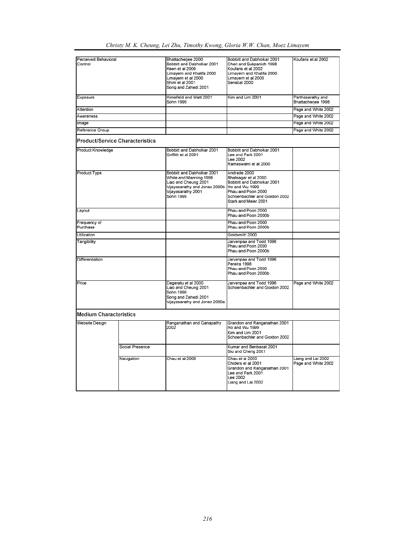| Perceived Behavioral<br>Control        |                 | Bhattacherjee 2000<br>Bobbitt and Dabholkar 2001<br>Bobbitt and Dabholkar 2001<br>Chen and Sukpanich 1998<br>Keen et al 2000<br>Koufaris et al 2002<br>Limayem and Khalifa 2000<br>Limayem and Khalifa 2000<br>Limayem et al 2000<br>Limayem et al 2000<br>Senecal 2000<br>Shim et al 2001<br>Song and Zahedi 2001 |                                                                                                                                                                     | Koufaris et al 2002                       |  |
|----------------------------------------|-----------------|--------------------------------------------------------------------------------------------------------------------------------------------------------------------------------------------------------------------------------------------------------------------------------------------------------------------|---------------------------------------------------------------------------------------------------------------------------------------------------------------------|-------------------------------------------|--|
| Exposure                               |                 | Kimelfeld and Watt 2001<br>Sohn 1999                                                                                                                                                                                                                                                                               | Kim and Lim 2001                                                                                                                                                    | Parthasarathy and<br>Bhattacherjee 1998   |  |
| Attention                              |                 |                                                                                                                                                                                                                                                                                                                    |                                                                                                                                                                     | Page and White 2002                       |  |
| Awareness                              |                 |                                                                                                                                                                                                                                                                                                                    |                                                                                                                                                                     | Page and White 2002                       |  |
| Image                                  |                 |                                                                                                                                                                                                                                                                                                                    |                                                                                                                                                                     | Page and White 2002                       |  |
| Reference Group                        |                 |                                                                                                                                                                                                                                                                                                                    |                                                                                                                                                                     | Page and White 2002                       |  |
| <b>Product/Service Characteristics</b> |                 |                                                                                                                                                                                                                                                                                                                    |                                                                                                                                                                     |                                           |  |
| Product Knowledge                      |                 | Bobbitt and Dabholkar 2001<br>Griffith et al 2001                                                                                                                                                                                                                                                                  | Bobbitt and Dabholkar 2001<br>Lee and Park 2001<br>Lee 2002<br>Ramaswami et al 2000                                                                                 |                                           |  |
| Product Type                           |                 | Bobbitt and Dabholkar 2001<br>White and Manning 1998<br>Liao and Cheung 2001<br>Vijayasarathy and Jones 2000b<br>Vijayasarathy 2001<br>Sohn 1999                                                                                                                                                                   | Andrade 2000<br>Bhatnagar et al 2000<br>Bobbitt and Dabholkar 2001<br>Ho and Wu 1999<br>Phau and Poon 2000<br>Schoenbachler and Gordon 2002<br>Stark and Meier 2001 |                                           |  |
| Layout                                 |                 |                                                                                                                                                                                                                                                                                                                    | Phau and Poon 2000<br>Phau and Poon 2000b                                                                                                                           |                                           |  |
| Frequency of<br>Purchase               |                 |                                                                                                                                                                                                                                                                                                                    | Phau and Poon 2000<br>Phau and Poon 2000b                                                                                                                           |                                           |  |
| Utilization                            |                 |                                                                                                                                                                                                                                                                                                                    | Goldsmith 2000                                                                                                                                                      |                                           |  |
| Tangibility                            |                 |                                                                                                                                                                                                                                                                                                                    | Jarvenpaa and Todd 1996<br>Phau and Poon 2000<br>Phau and Poon 2000b                                                                                                |                                           |  |
| Differentiation                        |                 |                                                                                                                                                                                                                                                                                                                    | Jarvenpaa and Todd 1996<br>Pereira 1998<br>Phau and Poon 2000<br>Phau and Poon 2000b                                                                                |                                           |  |
| Price                                  |                 | Degeratu et al 2000<br>Liao and Cheung 2001<br>Sohn 1999<br>Song and Zahedi 2001<br>Vijayasarathy and Jones 2000a                                                                                                                                                                                                  | Jarvenpaa and Todd 1996<br>Schoenbachler and Gordon 2002                                                                                                            | Page and White 2002                       |  |
| <b>Medium Characteristics</b>          |                 |                                                                                                                                                                                                                                                                                                                    |                                                                                                                                                                     |                                           |  |
| Website Design                         |                 | Ranganathan and Ganapathy<br>2002                                                                                                                                                                                                                                                                                  | Grandon and Ranganathan 2001<br>Ho and Wu 1999<br>Kim and Lim 2001<br>Schoenbachler and Gordon 2002                                                                 |                                           |  |
|                                        | Social Presence |                                                                                                                                                                                                                                                                                                                    | Kumar and Benbasat 2001<br>Siu and Cheng 2001                                                                                                                       |                                           |  |
|                                        | Navigation      | Chau et al 2000                                                                                                                                                                                                                                                                                                    | Chau et al 2000<br>Chiders et al 2001<br>Grandon and Ranganathan 2001<br>Lee and Park 2001<br>Lee 2002<br>Liang and Lai 2002                                        | Liang and Lai 2002<br>Page and White 2002 |  |

*Christy M. K. Cheung, Lei Zhu, Timothy Kwong, Gloria W.W. Chan, Moez Limayem*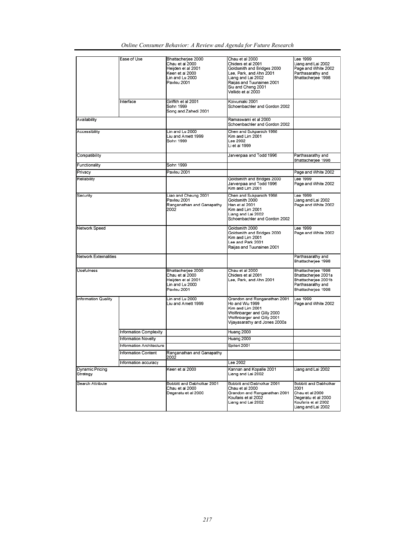| Ease of Use                 |                          | Bhattacherjee 2000<br>Chau et al 2000<br>Heijden et al 2001<br>Keen et al 2000<br>Lin and Lu 2000<br>Pavlou 2001 | Chau et al 2000<br>Chiders et al 2001<br>Goldsmith and Bridges 2000<br>Lee, Park, and Ahn 2001<br>Liang and Lai 2002<br>Raijas and Tuunainen 2001<br>Siu and Cheng 2001<br>Vellido et al 2000 | Lee 1999<br>Liang and Lai 2002<br>Page and White 2002<br>Parthasarathy and<br>Bhattacherjee 1998                     |
|-----------------------------|--------------------------|------------------------------------------------------------------------------------------------------------------|-----------------------------------------------------------------------------------------------------------------------------------------------------------------------------------------------|----------------------------------------------------------------------------------------------------------------------|
|                             | Interface                | Griffith et al 2001<br>Sohn 1999<br>Song and Zahedi 2001                                                         | Koivumaki 2001<br>Schoenbachler and Gordon 2002                                                                                                                                               |                                                                                                                      |
| Availability                |                          |                                                                                                                  | Ramaswami et al 2000<br>Schoenbachler and Gordon 2002                                                                                                                                         |                                                                                                                      |
| Accessibility               |                          | Lin and Lu 2000<br>Liu and Arnett 1999<br>Sohn 1999                                                              | Chen and Sukpanich 1998<br>Kim and Lim 2001<br>Lee 2002<br>Li et al 1999                                                                                                                      |                                                                                                                      |
| Compatibility               |                          |                                                                                                                  | Jarvenpaa and Todd 1996                                                                                                                                                                       | Parthasarathy and<br>Bhattacherjee 1998                                                                              |
| Functionality               |                          | Sohn 1999                                                                                                        |                                                                                                                                                                                               |                                                                                                                      |
| Privacy                     |                          | Pavlou 2001                                                                                                      |                                                                                                                                                                                               | Page and White 2002                                                                                                  |
| Reliability                 |                          |                                                                                                                  | Goldsmith and Bridges 2000<br>Jarvenpaa and Todd 1996<br>Kim and Lim 2001                                                                                                                     | Lee 1999<br>Page and White 2002                                                                                      |
| Security                    |                          | Liao and Cheung 2001<br>Pavlou 2001<br>Ranganathan and Ganapathy<br>2002                                         | Chen and Sukpanich 1998<br>Goldsmith 2000<br>Han et al 2001<br>Kim and Lim 2001<br>Liang and Lai 2002<br>Schoenbachler and Gordon 2002                                                        | ee 1999<br>Liang and Lai 2002<br>Page and White 2002                                                                 |
| Network Speed               |                          |                                                                                                                  | Goldsmith 2000<br>Goldsmith and Bridges 2000<br>Kim and Lim 2001<br>Lee and Park 2001<br>Raijas and Tuunainen 2001                                                                            | Lee 1999<br>Page and White 2002                                                                                      |
| Network Externalities       |                          |                                                                                                                  |                                                                                                                                                                                               | Parthasarathy and<br>Bhattacherjee 1998                                                                              |
| Usefulness                  |                          | Bhattacherjee 2000<br>Chau et al 2000<br>Heijden et al 2001<br>Lin and Lu 2000<br>Pavlou 2001                    | Chau et al 2000<br>Chiders et al 2001<br>Lee, Park, and Ahn 2001                                                                                                                              | Bhattacherjee 1998<br>Bhattacherjee 2001a<br>Bhattacherjee 2001b<br>Parthasarathy and<br>Bhattacherjee 1998          |
| Information Quality         |                          | Lin and Lu 2000<br>Liu and Arnett 1999                                                                           | Grandon and Ranganathan 2001<br>Ho and Wu 1999<br>Kim and Lim 2001<br>Wolfinbarger and Gilly 2000<br>Wolfinbarger and Gilly 2001<br>Vijayasarathy and Jones 2000a                             | Lee 1999<br>Page and White 2002                                                                                      |
|                             | Information Complexity   |                                                                                                                  | Huang 2000                                                                                                                                                                                    |                                                                                                                      |
|                             | Information Novelty      |                                                                                                                  | Huang 2000                                                                                                                                                                                    |                                                                                                                      |
|                             | Information Architecture |                                                                                                                  | Spiteri 2001                                                                                                                                                                                  |                                                                                                                      |
|                             | Information Content      | Ranganathan and Ganapathy<br>2002                                                                                |                                                                                                                                                                                               |                                                                                                                      |
|                             | Information accuracy     |                                                                                                                  | Lee 2002                                                                                                                                                                                      |                                                                                                                      |
| Dynamic Pricing<br>Strategy |                          | Keen et al 2000                                                                                                  | Kannan and Kopalle 2001<br>Liang and Lai 2002                                                                                                                                                 | Liang and Lai 2002                                                                                                   |
| Search Attribute            |                          | Bobbitt and Dabholkar 2001<br>Chau et al 2000<br>Degeratu et al 2000                                             | Bobbitt and Dabholkar 2001<br>Chau et al 2000<br>Grandon and Ranganathan 2001<br>Koufaris et al 2002<br>Liang and Lai 2002                                                                    | Bobbitt and Dabholkar<br>2001<br>Chau et al 2000<br>Degeratu et al 2000<br>Koufaris et al 2002<br>Liang and Lai 2002 |